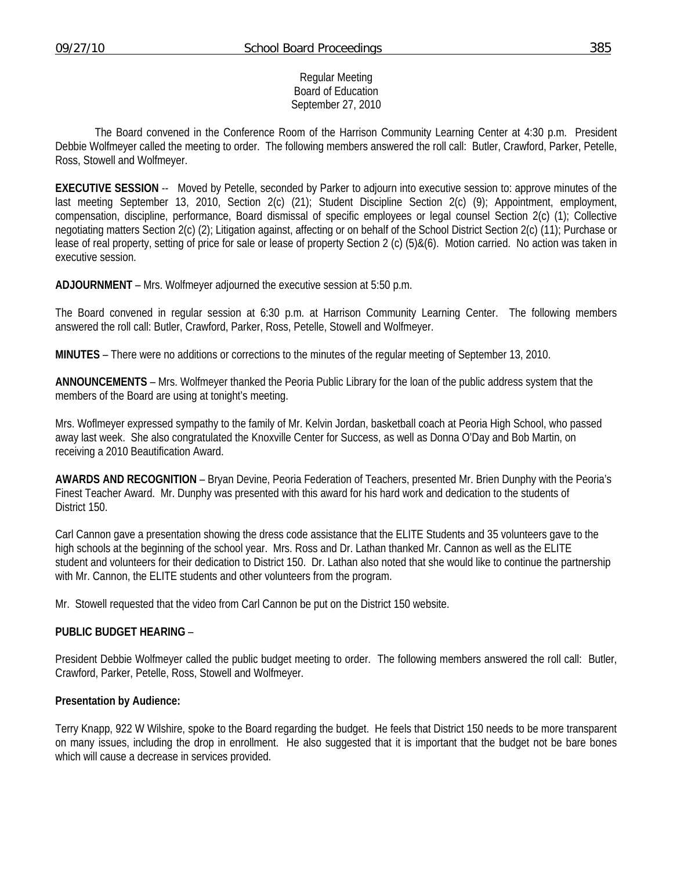#### Regular Meeting Board of Education September 27, 2010

 The Board convened in the Conference Room of the Harrison Community Learning Center at 4:30 p.m. President Debbie Wolfmeyer called the meeting to order. The following members answered the roll call: Butler, Crawford, Parker, Petelle, Ross, Stowell and Wolfmeyer.

**EXECUTIVE SESSION** -- Moved by Petelle, seconded by Parker to adjourn into executive session to: approve minutes of the last meeting September 13, 2010, Section 2(c) (21); Student Discipline Section 2(c) (9); Appointment, employment, compensation, discipline, performance, Board dismissal of specific employees or legal counsel Section 2(c) (1); Collective negotiating matters Section 2(c) (2); Litigation against, affecting or on behalf of the School District Section 2(c) (11); Purchase or lease of real property, setting of price for sale or lease of property Section 2 (c) (5)&(6). Motion carried. No action was taken in executive session.

**ADJOURNMENT** – Mrs. Wolfmeyer adjourned the executive session at 5:50 p.m.

The Board convened in regular session at 6:30 p.m. at Harrison Community Learning Center. The following members answered the roll call: Butler, Crawford, Parker, Ross, Petelle, Stowell and Wolfmeyer.

**MINUTES** – There were no additions or corrections to the minutes of the regular meeting of September 13, 2010.

**ANNOUNCEMENTS** – Mrs. Wolfmeyer thanked the Peoria Public Library for the loan of the public address system that the members of the Board are using at tonight's meeting.

Mrs. Woflmeyer expressed sympathy to the family of Mr. Kelvin Jordan, basketball coach at Peoria High School, who passed away last week. She also congratulated the Knoxville Center for Success, as well as Donna O'Day and Bob Martin, on receiving a 2010 Beautification Award.

**AWARDS AND RECOGNITION** – Bryan Devine, Peoria Federation of Teachers, presented Mr. Brien Dunphy with the Peoria's Finest Teacher Award. Mr. Dunphy was presented with this award for his hard work and dedication to the students of District 150.

Carl Cannon gave a presentation showing the dress code assistance that the ELITE Students and 35 volunteers gave to the high schools at the beginning of the school year. Mrs. Ross and Dr. Lathan thanked Mr. Cannon as well as the ELITE student and volunteers for their dedication to District 150. Dr. Lathan also noted that she would like to continue the partnership with Mr. Cannon, the ELITE students and other volunteers from the program.

Mr. Stowell requested that the video from Carl Cannon be put on the District 150 website.

#### **PUBLIC BUDGET HEARING** –

President Debbie Wolfmeyer called the public budget meeting to order. The following members answered the roll call: Butler, Crawford, Parker, Petelle, Ross, Stowell and Wolfmeyer.

## **Presentation by Audience:**

Terry Knapp, 922 W Wilshire, spoke to the Board regarding the budget. He feels that District 150 needs to be more transparent on many issues, including the drop in enrollment. He also suggested that it is important that the budget not be bare bones which will cause a decrease in services provided.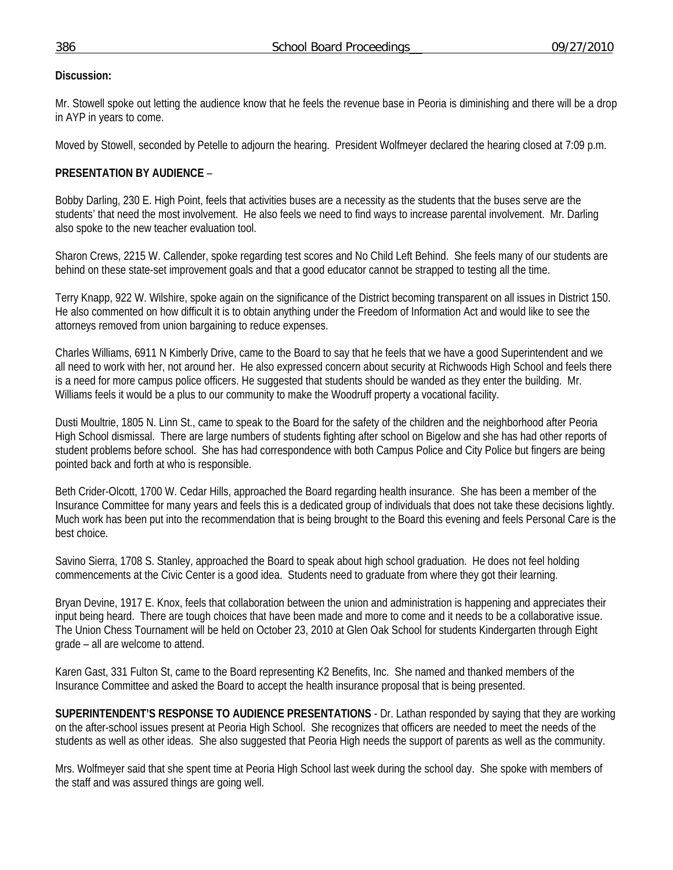## **Discussion:**

Mr. Stowell spoke out letting the audience know that he feels the revenue base in Peoria is diminishing and there will be a drop in AYP in years to come.

Moved by Stowell, seconded by Petelle to adjourn the hearing. President Wolfmeyer declared the hearing closed at 7:09 p.m.

# **PRESENTATION BY AUDIENCE** –

Bobby Darling, 230 E. High Point, feels that activities buses are a necessity as the students that the buses serve are the students' that need the most involvement. He also feels we need to find ways to increase parental involvement. Mr. Darling also spoke to the new teacher evaluation tool.

Sharon Crews, 2215 W. Callender, spoke regarding test scores and No Child Left Behind. She feels many of our students are behind on these state-set improvement goals and that a good educator cannot be strapped to testing all the time.

Terry Knapp, 922 W. Wilshire, spoke again on the significance of the District becoming transparent on all issues in District 150. He also commented on how difficult it is to obtain anything under the Freedom of Information Act and would like to see the attorneys removed from union bargaining to reduce expenses.

Charles Williams, 6911 N Kimberly Drive, came to the Board to say that he feels that we have a good Superintendent and we all need to work with her, not around her. He also expressed concern about security at Richwoods High School and feels there is a need for more campus police officers. He suggested that students should be wanded as they enter the building. Mr. Williams feels it would be a plus to our community to make the Woodruff property a vocational facility.

Dusti Moultrie, 1805 N. Linn St., came to speak to the Board for the safety of the children and the neighborhood after Peoria High School dismissal. There are large numbers of students fighting after school on Bigelow and she has had other reports of student problems before school. She has had correspondence with both Campus Police and City Police but fingers are being pointed back and forth at who is responsible.

Beth Crider-Olcott, 1700 W. Cedar Hills, approached the Board regarding health insurance. She has been a member of the Insurance Committee for many years and feels this is a dedicated group of individuals that does not take these decisions lightly. Much work has been put into the recommendation that is being brought to the Board this evening and feels Personal Care is the best choice.

Savino Sierra, 1708 S. Stanley, approached the Board to speak about high school graduation. He does not feel holding commencements at the Civic Center is a good idea. Students need to graduate from where they got their learning.

Bryan Devine, 1917 E. Knox, feels that collaboration between the union and administration is happening and appreciates their input being heard. There are tough choices that have been made and more to come and it needs to be a collaborative issue. The Union Chess Tournament will be held on October 23, 2010 at Glen Oak School for students Kindergarten through Eight grade – all are welcome to attend.

Karen Gast, 331 Fulton St, came to the Board representing K2 Benefits, Inc. She named and thanked members of the Insurance Committee and asked the Board to accept the health insurance proposal that is being presented.

**SUPERINTENDENT'S RESPONSE TO AUDIENCE PRESENTATIONS** - Dr. Lathan responded by saying that they are working on the after-school issues present at Peoria High School. She recognizes that officers are needed to meet the needs of the students as well as other ideas. She also suggested that Peoria High needs the support of parents as well as the community.

Mrs. Wolfmeyer said that she spent time at Peoria High School last week during the school day. She spoke with members of the staff and was assured things are going well.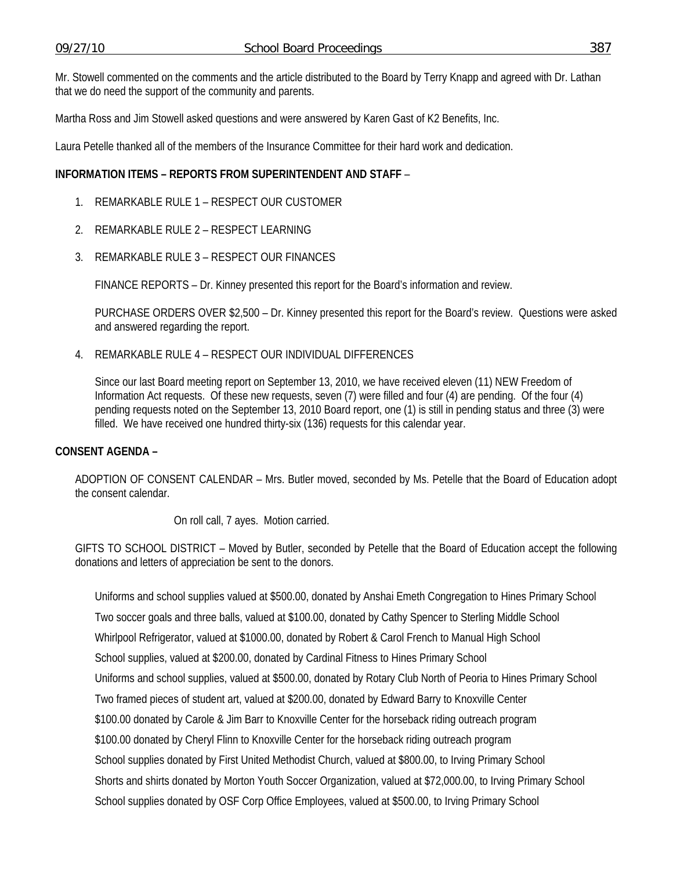Mr. Stowell commented on the comments and the article distributed to the Board by Terry Knapp and agreed with Dr. Lathan that we do need the support of the community and parents.

Martha Ross and Jim Stowell asked questions and were answered by Karen Gast of K2 Benefits, Inc.

Laura Petelle thanked all of the members of the Insurance Committee for their hard work and dedication.

### **INFORMATION ITEMS – REPORTS FROM SUPERINTENDENT AND STAFF** –

- 1. REMARKABLE RULE 1 RESPECT OUR CUSTOMER
- 2. REMARKABLE RULE 2 RESPECT LEARNING
- 3. REMARKABLE RULE 3 RESPECT OUR FINANCES

FINANCE REPORTS – Dr. Kinney presented this report for the Board's information and review.

 PURCHASE ORDERS OVER \$2,500 – Dr. Kinney presented this report for the Board's review. Questions were asked and answered regarding the report.

4. REMARKABLE RULE 4 – RESPECT OUR INDIVIDUAL DIFFERENCES

Since our last Board meeting report on September 13, 2010, we have received eleven (11) NEW Freedom of Information Act requests. Of these new requests, seven (7) were filled and four (4) are pending. Of the four (4) pending requests noted on the September 13, 2010 Board report, one (1) is still in pending status and three (3) were filled. We have received one hundred thirty-six (136) requests for this calendar year.

#### **CONSENT AGENDA –**

ADOPTION OF CONSENT CALENDAR – Mrs. Butler moved, seconded by Ms. Petelle that the Board of Education adopt the consent calendar.

On roll call, 7 ayes. Motion carried.

GIFTS TO SCHOOL DISTRICT – Moved by Butler, seconded by Petelle that the Board of Education accept the following donations and letters of appreciation be sent to the donors.

Uniforms and school supplies valued at \$500.00, donated by Anshai Emeth Congregation to Hines Primary School Two soccer goals and three balls, valued at \$100.00, donated by Cathy Spencer to Sterling Middle School Whirlpool Refrigerator, valued at \$1000.00, donated by Robert & Carol French to Manual High School School supplies, valued at \$200.00, donated by Cardinal Fitness to Hines Primary School Uniforms and school supplies, valued at \$500.00, donated by Rotary Club North of Peoria to Hines Primary School Two framed pieces of student art, valued at \$200.00, donated by Edward Barry to Knoxville Center \$100.00 donated by Carole & Jim Barr to Knoxville Center for the horseback riding outreach program \$100.00 donated by Cheryl Flinn to Knoxville Center for the horseback riding outreach program School supplies donated by First United Methodist Church, valued at \$800.00, to Irving Primary School Shorts and shirts donated by Morton Youth Soccer Organization, valued at \$72,000.00, to Irving Primary School School supplies donated by OSF Corp Office Employees, valued at \$500.00, to Irving Primary School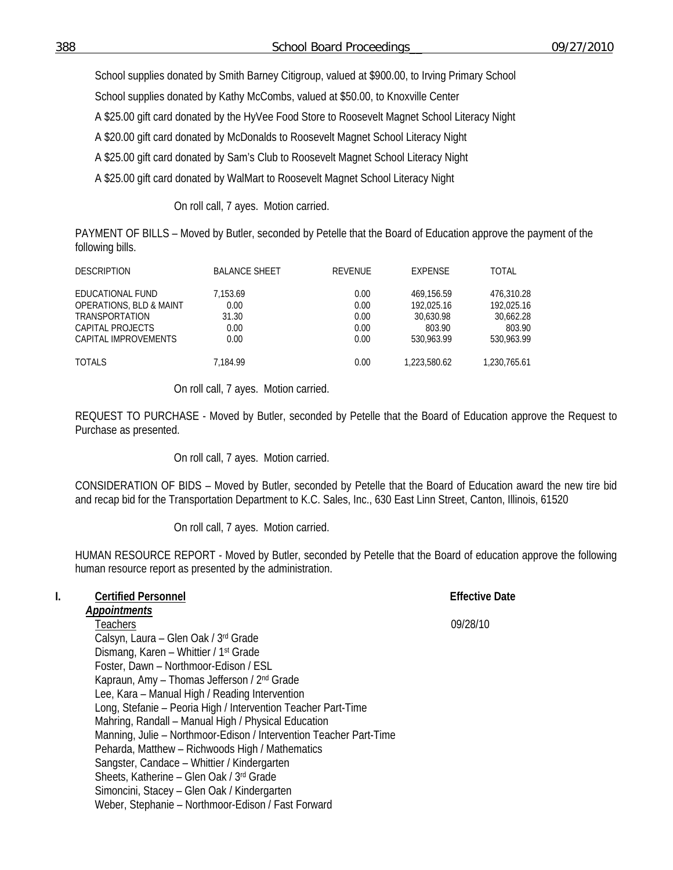School supplies donated by Smith Barney Citigroup, valued at \$900.00, to Irving Primary School

School supplies donated by Kathy McCombs, valued at \$50.00, to Knoxville Center

A \$25.00 gift card donated by the HyVee Food Store to Roosevelt Magnet School Literacy Night

A \$20.00 gift card donated by McDonalds to Roosevelt Magnet School Literacy Night

A \$25.00 gift card donated by Sam's Club to Roosevelt Magnet School Literacy Night

A \$25.00 gift card donated by WalMart to Roosevelt Magnet School Literacy Night

On roll call, 7 ayes. Motion carried.

PAYMENT OF BILLS – Moved by Butler, seconded by Petelle that the Board of Education approve the payment of the following bills.

| <b>DESCRIPTION</b>                                                                                                          | <b>BALANCE SHEET</b>                      | REVENUE                              | EXPENSE                                                       | TOTAL                                                         |
|-----------------------------------------------------------------------------------------------------------------------------|-------------------------------------------|--------------------------------------|---------------------------------------------------------------|---------------------------------------------------------------|
| EDUCATIONAL FUND<br><b>OPERATIONS, BLD &amp; MAINT</b><br><b>TRANSPORTATION</b><br>CAPITAL PROJECTS<br>CAPITAL IMPROVEMENTS | 7.153.69<br>0.00<br>31.30<br>0.00<br>0.00 | 0.00<br>0.00<br>0.00<br>0.00<br>0.00 | 469.156.59<br>192.025.16<br>30.630.98<br>803.90<br>530,963.99 | 476.310.28<br>192.025.16<br>30.662.28<br>803.90<br>530.963.99 |
| <b>TOTALS</b>                                                                                                               | 7.184.99                                  | 0.00                                 | 1.223.580.62                                                  | 1,230,765.61                                                  |

## On roll call, 7 ayes. Motion carried.

REQUEST TO PURCHASE - Moved by Butler, seconded by Petelle that the Board of Education approve the Request to Purchase as presented.

On roll call, 7 ayes. Motion carried.

CONSIDERATION OF BIDS – Moved by Butler, seconded by Petelle that the Board of Education award the new tire bid and recap bid for the Transportation Department to K.C. Sales, Inc., 630 East Linn Street, Canton, Illinois, 61520

On roll call, 7 ayes. Motion carried.

HUMAN RESOURCE REPORT - Moved by Butler, seconded by Petelle that the Board of education approve the following human resource report as presented by the administration.

#### **I.** Certified Personnel **Effective Date Effective Date** *Appointments*

Teachers 09/28/10 Calsyn, Laura – Glen Oak / 3rd Grade Dismang, Karen – Whittier / 1st Grade Foster, Dawn – Northmoor-Edison / ESL Kapraun, Amy – Thomas Jefferson / 2nd Grade Lee, Kara – Manual High / Reading Intervention Long, Stefanie – Peoria High / Intervention Teacher Part-Time Mahring, Randall – Manual High / Physical Education Manning, Julie – Northmoor-Edison / Intervention Teacher Part-Time Peharda, Matthew – Richwoods High / Mathematics Sangster, Candace – Whittier / Kindergarten Sheets, Katherine – Glen Oak / 3rd Grade Simoncini, Stacey – Glen Oak / Kindergarten Weber, Stephanie – Northmoor-Edison / Fast Forward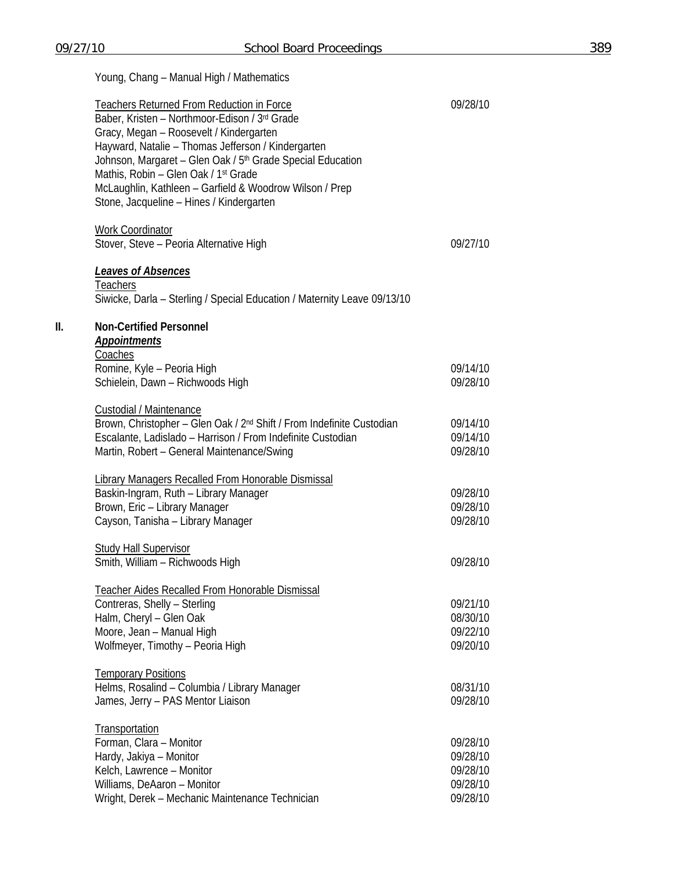|     | Young, Chang - Manual High / Mathematics                                                                                                                                                                                                                                                                                                                                                                                                |                                                          |
|-----|-----------------------------------------------------------------------------------------------------------------------------------------------------------------------------------------------------------------------------------------------------------------------------------------------------------------------------------------------------------------------------------------------------------------------------------------|----------------------------------------------------------|
|     | <b>Teachers Returned From Reduction in Force</b><br>Baber, Kristen - Northmoor-Edison / 3rd Grade<br>Gracy, Megan - Roosevelt / Kindergarten<br>Hayward, Natalie - Thomas Jefferson / Kindergarten<br>Johnson, Margaret - Glen Oak / 5 <sup>th</sup> Grade Special Education<br>Mathis, Robin - Glen Oak / 1 <sup>st</sup> Grade<br>McLaughlin, Kathleen - Garfield & Woodrow Wilson / Prep<br>Stone, Jacqueline - Hines / Kindergarten | 09/28/10                                                 |
|     | <b>Work Coordinator</b><br>Stover, Steve - Peoria Alternative High                                                                                                                                                                                                                                                                                                                                                                      | 09/27/10                                                 |
|     | <u>Leaves of Absences</u><br><b>Teachers</b><br>Siwicke, Darla - Sterling / Special Education / Maternity Leave 09/13/10                                                                                                                                                                                                                                                                                                                |                                                          |
| II. | <b>Non-Certified Personnel</b><br><b>Appointments</b>                                                                                                                                                                                                                                                                                                                                                                                   |                                                          |
|     | Coaches<br>Romine, Kyle - Peoria High<br>Schielein, Dawn - Richwoods High                                                                                                                                                                                                                                                                                                                                                               | 09/14/10<br>09/28/10                                     |
|     | <b>Custodial / Maintenance</b><br>Brown, Christopher - Glen Oak / 2 <sup>nd</sup> Shift / From Indefinite Custodian<br>Escalante, Ladislado - Harrison / From Indefinite Custodian<br>Martin, Robert - General Maintenance/Swing                                                                                                                                                                                                        | 09/14/10<br>09/14/10<br>09/28/10                         |
|     | <b>Library Managers Recalled From Honorable Dismissal</b><br>Baskin-Ingram, Ruth - Library Manager<br>Brown, Eric - Library Manager<br>Cayson, Tanisha - Library Manager                                                                                                                                                                                                                                                                | 09/28/10<br>09/28/10<br>09/28/10                         |
|     | <b>Study Hall Supervisor</b><br>Smith, William - Richwoods High                                                                                                                                                                                                                                                                                                                                                                         | 09/28/10                                                 |
|     | Teacher Aides Recalled From Honorable Dismissal<br>Contreras, Shelly - Sterling<br>Halm, Cheryl - Glen Oak<br>Moore, Jean - Manual High<br>Wolfmeyer, Timothy - Peoria High                                                                                                                                                                                                                                                             | 09/21/10<br>08/30/10<br>09/22/10<br>09/20/10             |
|     | <b>Temporary Positions</b><br>Helms, Rosalind - Columbia / Library Manager<br>James, Jerry - PAS Mentor Liaison                                                                                                                                                                                                                                                                                                                         | 08/31/10<br>09/28/10                                     |
|     | Transportation<br>Forman, Clara - Monitor<br>Hardy, Jakiya - Monitor<br>Kelch, Lawrence - Monitor<br>Williams, DeAaron - Monitor<br>Wright, Derek - Mechanic Maintenance Technician                                                                                                                                                                                                                                                     | 09/28/10<br>09/28/10<br>09/28/10<br>09/28/10<br>09/28/10 |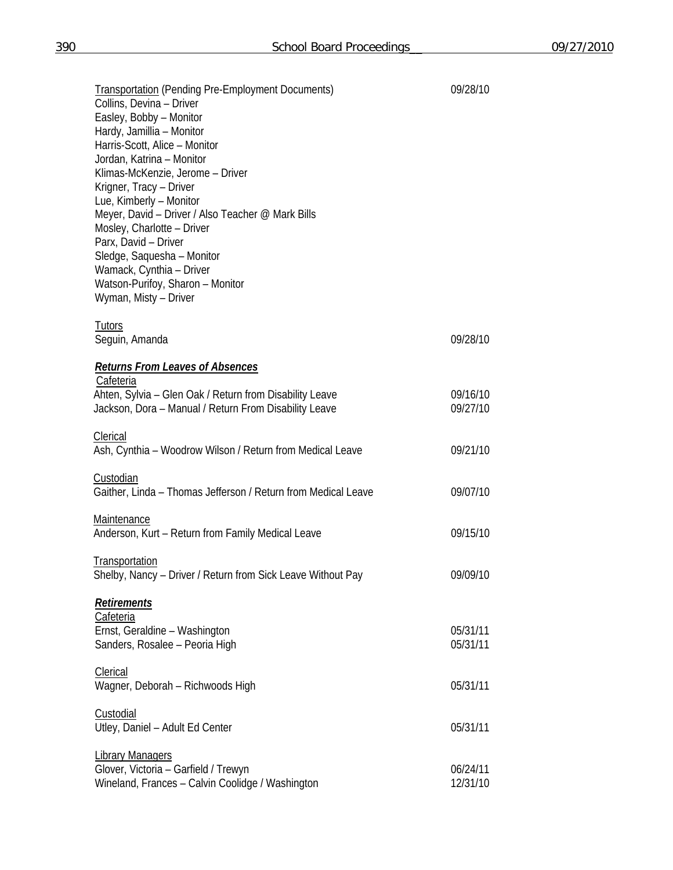| <b>Transportation (Pending Pre-Employment Documents)</b><br>Collins, Devina - Driver | 09/28/10 |  |
|--------------------------------------------------------------------------------------|----------|--|
| Easley, Bobby - Monitor                                                              |          |  |
| Hardy, Jamillia - Monitor                                                            |          |  |
| Harris-Scott, Alice - Monitor                                                        |          |  |
| Jordan, Katrina - Monitor                                                            |          |  |
| Klimas-McKenzie, Jerome - Driver                                                     |          |  |
| Krigner, Tracy - Driver                                                              |          |  |
| Lue, Kimberly - Monitor                                                              |          |  |
| Meyer, David - Driver / Also Teacher @ Mark Bills                                    |          |  |
| Mosley, Charlotte - Driver                                                           |          |  |
| Parx, David - Driver                                                                 |          |  |
| Sledge, Saquesha - Monitor                                                           |          |  |
| Wamack, Cynthia - Driver<br>Watson-Purifoy, Sharon - Monitor                         |          |  |
| Wyman, Misty - Driver                                                                |          |  |
|                                                                                      |          |  |
| <b>Tutors</b><br>Seguin, Amanda                                                      | 09/28/10 |  |
|                                                                                      |          |  |
| <b>Returns From Leaves of Absences</b>                                               |          |  |
| Cafeteria<br>Ahten, Sylvia - Glen Oak / Return from Disability Leave                 | 09/16/10 |  |
| Jackson, Dora - Manual / Return From Disability Leave                                | 09/27/10 |  |
|                                                                                      |          |  |
| Clerical                                                                             |          |  |
| Ash, Cynthia - Woodrow Wilson / Return from Medical Leave                            | 09/21/10 |  |
| Custodian                                                                            |          |  |
| Gaither, Linda - Thomas Jefferson / Return from Medical Leave                        | 09/07/10 |  |
| Maintenance                                                                          |          |  |
| Anderson, Kurt - Return from Family Medical Leave                                    | 09/15/10 |  |
| <b>Transportation</b>                                                                |          |  |
| Shelby, Nancy - Driver / Return from Sick Leave Without Pay                          | 09/09/10 |  |
| <b>Retirements</b>                                                                   |          |  |
| Cafeteria                                                                            |          |  |
| Ernst, Geraldine - Washington                                                        | 05/31/11 |  |
| Sanders, Rosalee - Peoria High                                                       | 05/31/11 |  |
|                                                                                      |          |  |
| <b>Clerical</b>                                                                      | 05/31/11 |  |
| Wagner, Deborah - Richwoods High                                                     |          |  |
| Custodial                                                                            |          |  |
| Utley, Daniel - Adult Ed Center                                                      | 05/31/11 |  |
| <b>Library Managers</b>                                                              |          |  |
| Glover, Victoria - Garfield / Trewyn                                                 | 06/24/11 |  |
| Wineland, Frances - Calvin Coolidge / Washington                                     | 12/31/10 |  |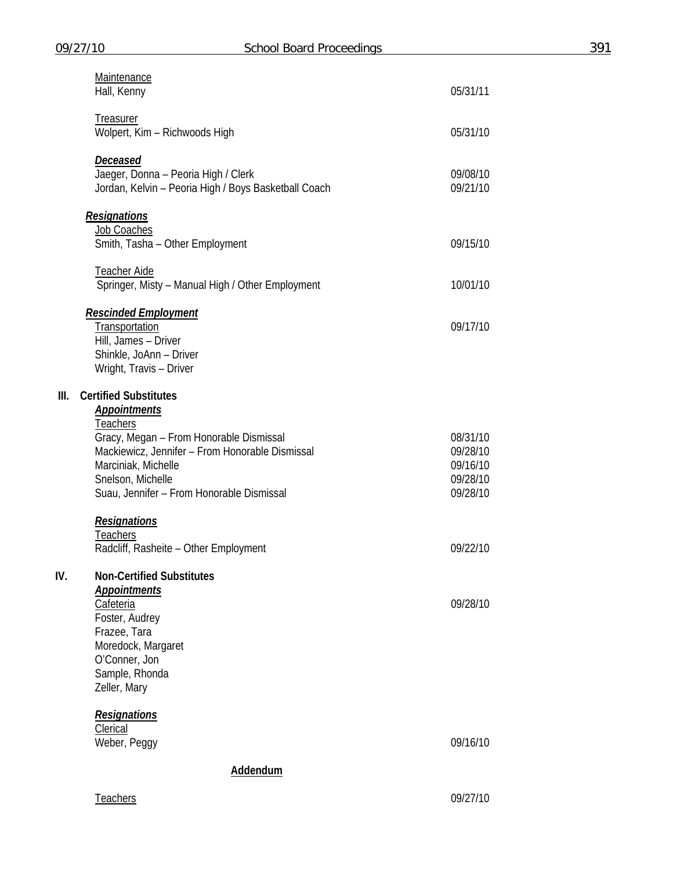|                 | Maintenance<br>Hall, Kenny                                                                                                                                                                             | 05/31/11                                                 |  |  |
|-----------------|--------------------------------------------------------------------------------------------------------------------------------------------------------------------------------------------------------|----------------------------------------------------------|--|--|
|                 | Treasurer<br>Wolpert, Kim - Richwoods High                                                                                                                                                             | 05/31/10                                                 |  |  |
|                 | <u>Deceased</u><br>Jaeger, Donna - Peoria High / Clerk<br>Jordan, Kelvin - Peoria High / Boys Basketball Coach                                                                                         | 09/08/10<br>09/21/10                                     |  |  |
|                 | <b>Resignations</b><br>Job Coaches                                                                                                                                                                     |                                                          |  |  |
|                 | Smith, Tasha - Other Employment                                                                                                                                                                        | 09/15/10                                                 |  |  |
|                 | <b>Teacher Aide</b><br>Springer, Misty - Manual High / Other Employment                                                                                                                                | 10/01/10                                                 |  |  |
|                 | <u>Rescinded Employment</u><br>Transportation<br>Hill, James - Driver<br>Shinkle, JoAnn - Driver<br>Wright, Travis - Driver                                                                            | 09/17/10                                                 |  |  |
| Ш.              | <b>Certified Substitutes</b><br><b>Appointments</b>                                                                                                                                                    |                                                          |  |  |
|                 | <b>Teachers</b><br>Gracy, Megan - From Honorable Dismissal<br>Mackiewicz, Jennifer - From Honorable Dismissal<br>Marciniak, Michelle<br>Snelson, Michelle<br>Suau, Jennifer - From Honorable Dismissal | 08/31/10<br>09/28/10<br>09/16/10<br>09/28/10<br>09/28/10 |  |  |
|                 | <b>Resignations</b><br><b>Teachers</b><br>Radcliff, Rasheite - Other Employment                                                                                                                        | 09/22/10                                                 |  |  |
| IV.             | <b>Non-Certified Substitutes</b>                                                                                                                                                                       |                                                          |  |  |
|                 | <b>Appointments</b><br><b>Cafeteria</b><br>Foster, Audrey<br>Frazee, Tara<br>Moredock, Margaret<br>O'Conner, Jon<br>Sample, Rhonda<br>Zeller, Mary                                                     | 09/28/10                                                 |  |  |
|                 | <b>Resignations</b><br>Clerical                                                                                                                                                                        |                                                          |  |  |
|                 | Weber, Peggy                                                                                                                                                                                           | 09/16/10                                                 |  |  |
| <b>Addendum</b> |                                                                                                                                                                                                        |                                                          |  |  |

Teachers 09/27/10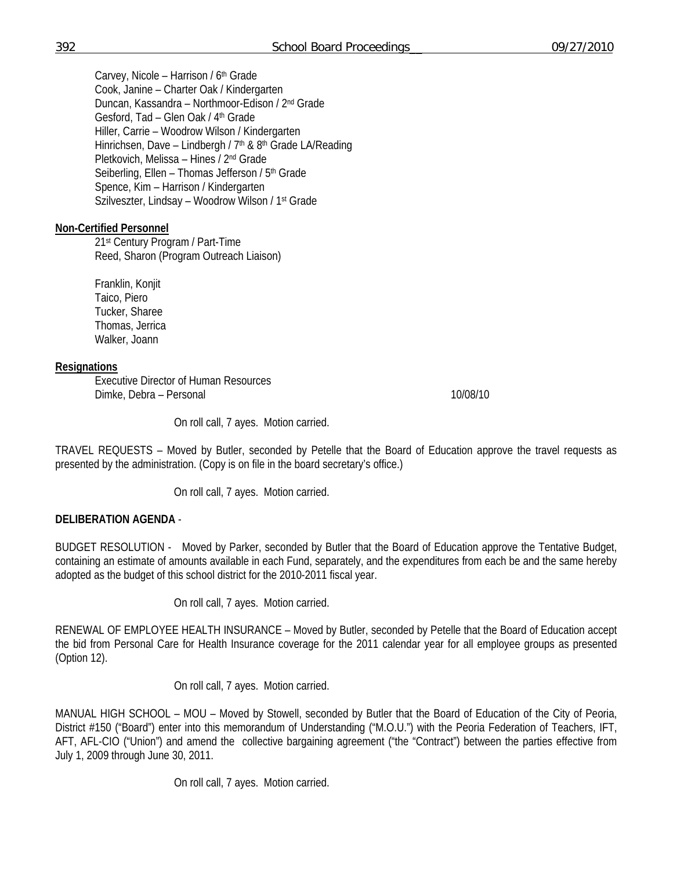Carvey, Nicole - Harrison / 6<sup>th</sup> Grade Cook, Janine – Charter Oak / Kindergarten Duncan, Kassandra – Northmoor-Edison / 2nd Grade Gesford, Tad – Glen Oak / 4th Grade Hiller, Carrie – Woodrow Wilson / Kindergarten Hinrichsen, Dave - Lindbergh / 7<sup>th</sup> & 8<sup>th</sup> Grade LA/Reading Pletkovich, Melissa – Hines / 2nd Grade Seiberling, Ellen - Thomas Jefferson / 5<sup>th</sup> Grade Spence, Kim – Harrison / Kindergarten Szilveszter, Lindsay – Woodrow Wilson / 1st Grade

## **Non-Certified Personnel**

 21st Century Program / Part-Time Reed, Sharon (Program Outreach Liaison)

 Franklin, Konjit Taico, Piero Tucker, Sharee Thomas, Jerrica Walker, Joann

### **Resignations**

 Executive Director of Human Resources Dimke, Debra – Personal 10/08/10

On roll call, 7 ayes. Motion carried.

TRAVEL REQUESTS – Moved by Butler, seconded by Petelle that the Board of Education approve the travel requests as presented by the administration. (Copy is on file in the board secretary's office.)

On roll call, 7 ayes. Motion carried.

## **DELIBERATION AGENDA** -

BUDGET RESOLUTION - Moved by Parker, seconded by Butler that the Board of Education approve the Tentative Budget, containing an estimate of amounts available in each Fund, separately, and the expenditures from each be and the same hereby adopted as the budget of this school district for the 2010-2011 fiscal year.

On roll call, 7 ayes. Motion carried.

RENEWAL OF EMPLOYEE HEALTH INSURANCE – Moved by Butler, seconded by Petelle that the Board of Education accept the bid from Personal Care for Health Insurance coverage for the 2011 calendar year for all employee groups as presented (Option 12).

On roll call, 7 ayes. Motion carried.

MANUAL HIGH SCHOOL – MOU – Moved by Stowell, seconded by Butler that the Board of Education of the City of Peoria, District #150 ("Board") enter into this memorandum of Understanding ("M.O.U.") with the Peoria Federation of Teachers, IFT, AFT, AFL-CIO ("Union") and amend the collective bargaining agreement ("the "Contract") between the parties effective from July 1, 2009 through June 30, 2011.

On roll call, 7 ayes. Motion carried.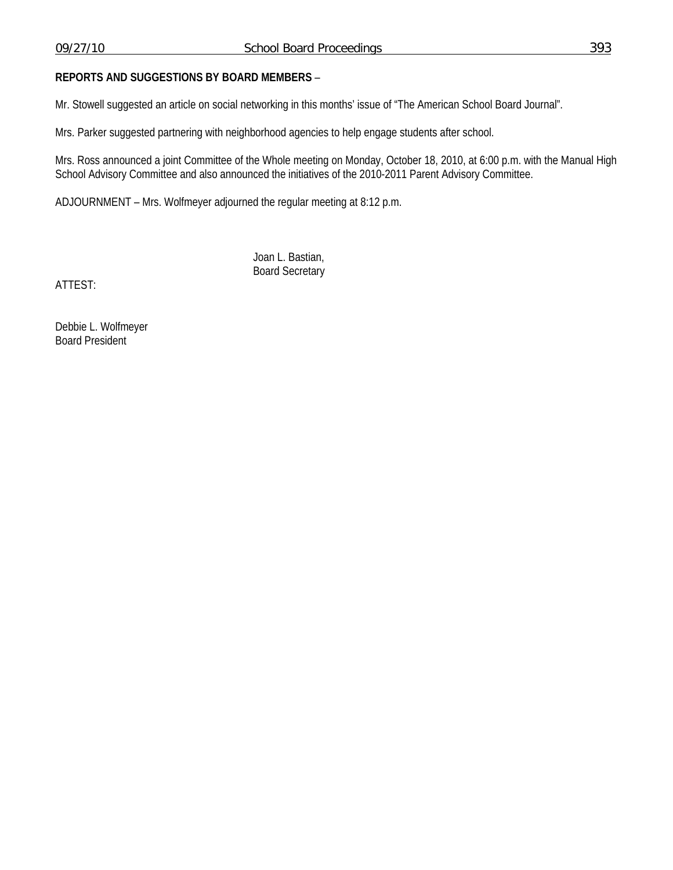Mr. Stowell suggested an article on social networking in this months' issue of "The American School Board Journal".

Mrs. Parker suggested partnering with neighborhood agencies to help engage students after school.

Mrs. Ross announced a joint Committee of the Whole meeting on Monday, October 18, 2010, at 6:00 p.m. with the Manual High School Advisory Committee and also announced the initiatives of the 2010-2011 Parent Advisory Committee.

ADJOURNMENT – Mrs. Wolfmeyer adjourned the regular meeting at 8:12 p.m.

 Joan L. Bastian, Board Secretary

ATTEST:

Debbie L. Wolfmeyer Board President